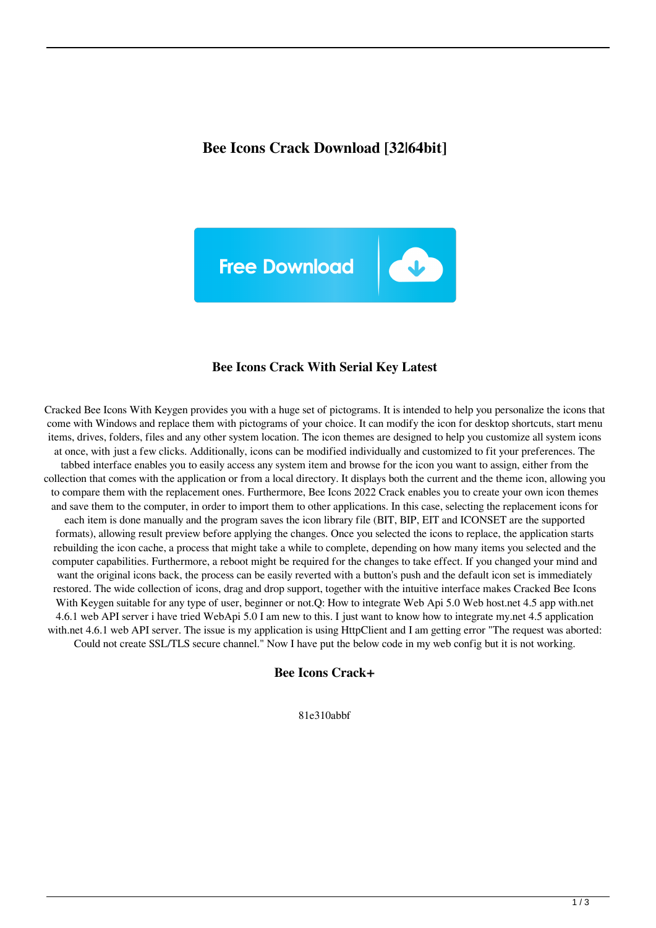## **Bee Icons Crack Download [32|64bit]**



#### **Bee Icons Crack With Serial Key Latest**

Cracked Bee Icons With Keygen provides you with a huge set of pictograms. It is intended to help you personalize the icons that come with Windows and replace them with pictograms of your choice. It can modify the icon for desktop shortcuts, start menu items, drives, folders, files and any other system location. The icon themes are designed to help you customize all system icons at once, with just a few clicks. Additionally, icons can be modified individually and customized to fit your preferences. The tabbed interface enables you to easily access any system item and browse for the icon you want to assign, either from the collection that comes with the application or from a local directory. It displays both the current and the theme icon, allowing you to compare them with the replacement ones. Furthermore, Bee Icons 2022 Crack enables you to create your own icon themes and save them to the computer, in order to import them to other applications. In this case, selecting the replacement icons for each item is done manually and the program saves the icon library file (BIT, BIP, EIT and ICONSET are the supported formats), allowing result preview before applying the changes. Once you selected the icons to replace, the application starts rebuilding the icon cache, a process that might take a while to complete, depending on how many items you selected and the computer capabilities. Furthermore, a reboot might be required for the changes to take effect. If you changed your mind and want the original icons back, the process can be easily reverted with a button's push and the default icon set is immediately restored. The wide collection of icons, drag and drop support, together with the intuitive interface makes Cracked Bee Icons With Keygen suitable for any type of user, beginner or not.Q: How to integrate Web Api 5.0 Web host.net 4.5 app with.net 4.6.1 web API server i have tried WebApi 5.0 I am new to this. I just want to know how to integrate my.net 4.5 application with.net 4.6.1 web API server. The issue is my application is using HttpClient and I am getting error "The request was aborted: Could not create SSL/TLS secure channel." Now I have put the below code in my web config but it is not working.

#### **Bee Icons Crack+**

81e310abbf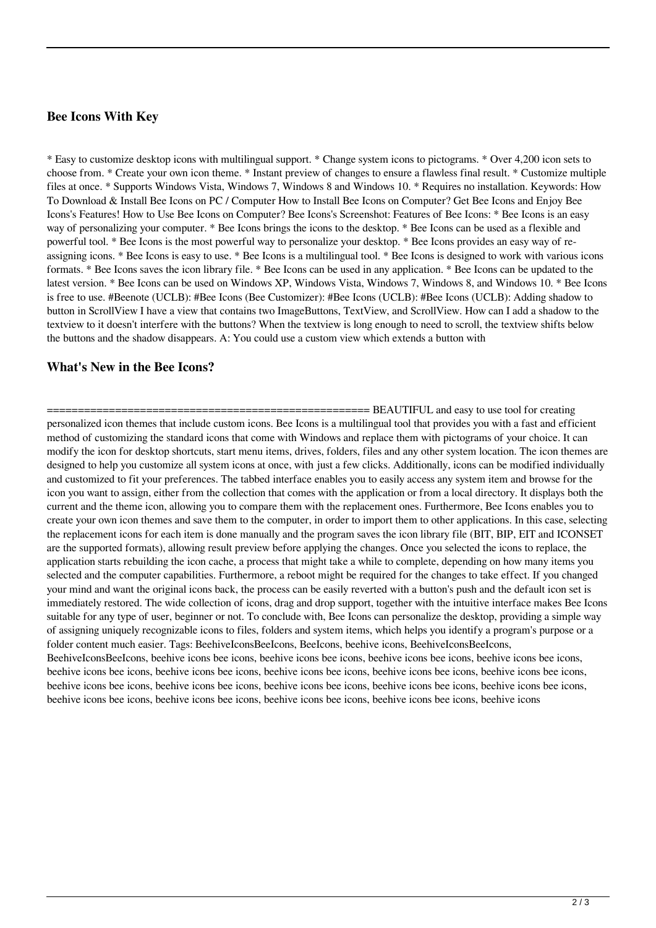### **Bee Icons With Key**

\* Easy to customize desktop icons with multilingual support. \* Change system icons to pictograms. \* Over 4,200 icon sets to choose from. \* Create your own icon theme. \* Instant preview of changes to ensure a flawless final result. \* Customize multiple files at once. \* Supports Windows Vista, Windows 7, Windows 8 and Windows 10. \* Requires no installation. Keywords: How To Download & Install Bee Icons on PC / Computer How to Install Bee Icons on Computer? Get Bee Icons and Enjoy Bee Icons's Features! How to Use Bee Icons on Computer? Bee Icons's Screenshot: Features of Bee Icons: \* Bee Icons is an easy way of personalizing your computer. \* Bee Icons brings the icons to the desktop. \* Bee Icons can be used as a flexible and powerful tool. \* Bee Icons is the most powerful way to personalize your desktop. \* Bee Icons provides an easy way of reassigning icons. \* Bee Icons is easy to use. \* Bee Icons is a multilingual tool. \* Bee Icons is designed to work with various icons formats. \* Bee Icons saves the icon library file. \* Bee Icons can be used in any application. \* Bee Icons can be updated to the latest version. \* Bee Icons can be used on Windows XP, Windows Vista, Windows 7, Windows 8, and Windows 10. \* Bee Icons is free to use. #Beenote (UCLB): #Bee Icons (Bee Customizer): #Bee Icons (UCLB): #Bee Icons (UCLB): Adding shadow to button in ScrollView I have a view that contains two ImageButtons, TextView, and ScrollView. How can I add a shadow to the textview to it doesn't interfere with the buttons? When the textview is long enough to need to scroll, the textview shifts below the buttons and the shadow disappears. A: You could use a custom view which extends a button with

### **What's New in the Bee Icons?**

== BEAUTIFUL and easy to use tool for creating personalized icon themes that include custom icons. Bee Icons is a multilingual tool that provides you with a fast and efficient method of customizing the standard icons that come with Windows and replace them with pictograms of your choice. It can modify the icon for desktop shortcuts, start menu items, drives, folders, files and any other system location. The icon themes are designed to help you customize all system icons at once, with just a few clicks. Additionally, icons can be modified individually and customized to fit your preferences. The tabbed interface enables you to easily access any system item and browse for the icon you want to assign, either from the collection that comes with the application or from a local directory. It displays both the current and the theme icon, allowing you to compare them with the replacement ones. Furthermore, Bee Icons enables you to create your own icon themes and save them to the computer, in order to import them to other applications. In this case, selecting the replacement icons for each item is done manually and the program saves the icon library file (BIT, BIP, EIT and ICONSET are the supported formats), allowing result preview before applying the changes. Once you selected the icons to replace, the application starts rebuilding the icon cache, a process that might take a while to complete, depending on how many items you selected and the computer capabilities. Furthermore, a reboot might be required for the changes to take effect. If you changed your mind and want the original icons back, the process can be easily reverted with a button's push and the default icon set is immediately restored. The wide collection of icons, drag and drop support, together with the intuitive interface makes Bee Icons suitable for any type of user, beginner or not. To conclude with, Bee Icons can personalize the desktop, providing a simple way of assigning uniquely recognizable icons to files, folders and system items, which helps you identify a program's purpose or a folder content much easier. Tags: BeehiveIconsBeeIcons, BeeIcons, beehive icons, BeehiveIconsBeeIcons, BeehiveIconsBeeIcons, beehive icons bee icons, beehive icons bee icons, beehive icons bee icons, beehive icons bee icons, beehive icons bee icons, beehive icons bee icons, beehive icons bee icons, beehive icons bee icons, beehive icons bee icons, beehive icons bee icons, beehive icons bee icons, beehive icons bee icons, beehive icons bee icons, beehive icons bee icons, beehive icons bee icons, beehive icons bee icons, beehive icons bee icons, beehive icons bee icons, beehive icons